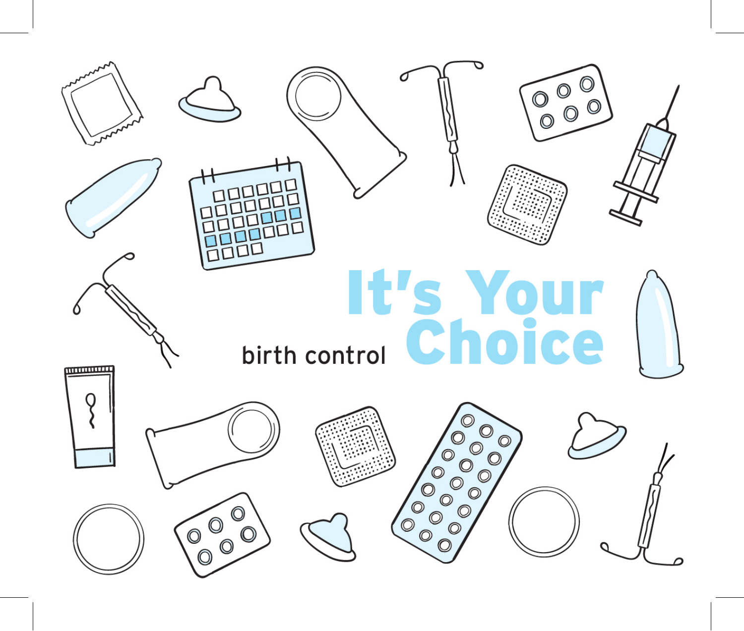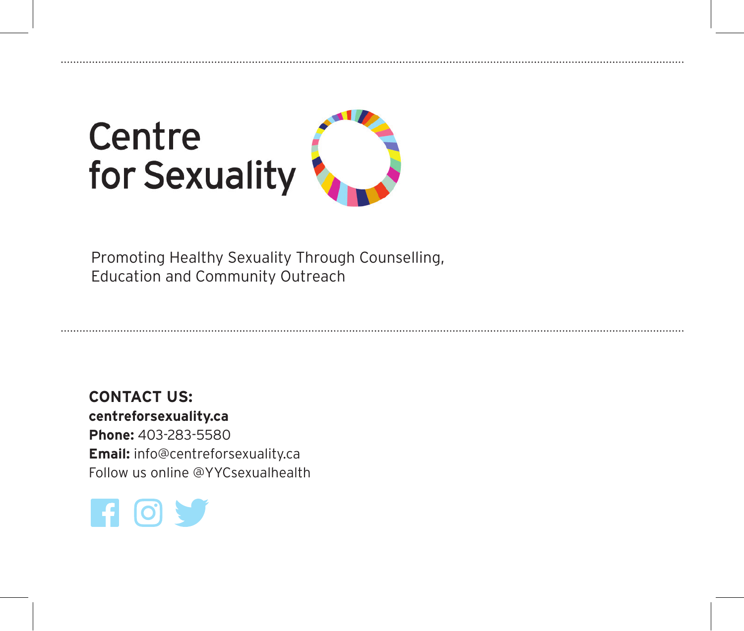# Centre for Sexuality



Promoting Healthy Sexuality Through Counselling, Education and Community Outreach

**CONTACT US: centreforsexuality.ca Phone:** 403-283-5580 **Email:** info@centreforsexuality.ca Follow us online @YYCsexualhealth

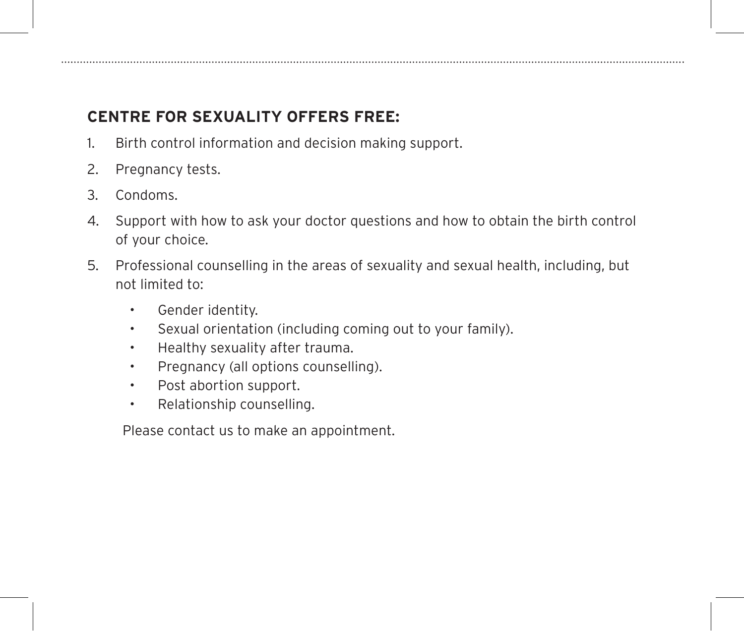# **CENTRE FOR SEXUALITY OFFERS FREE:**

- 1. Birth control information and decision making support.
- 2. Pregnancy tests.
- 3. Condoms.
- 4. Support with how to ask your doctor questions and how to obtain the birth control of your choice.
- 5. Professional counselling in the areas of sexuality and sexual health, including, but not limited to:
	- Gender identity.
	- Sexual orientation (including coming out to your family).
	- Healthy sexuality after trauma.
	- Pregnancy (all options counselling).
	- Post abortion support.
	- Relationship counselling.

Please contact us to make an appointment.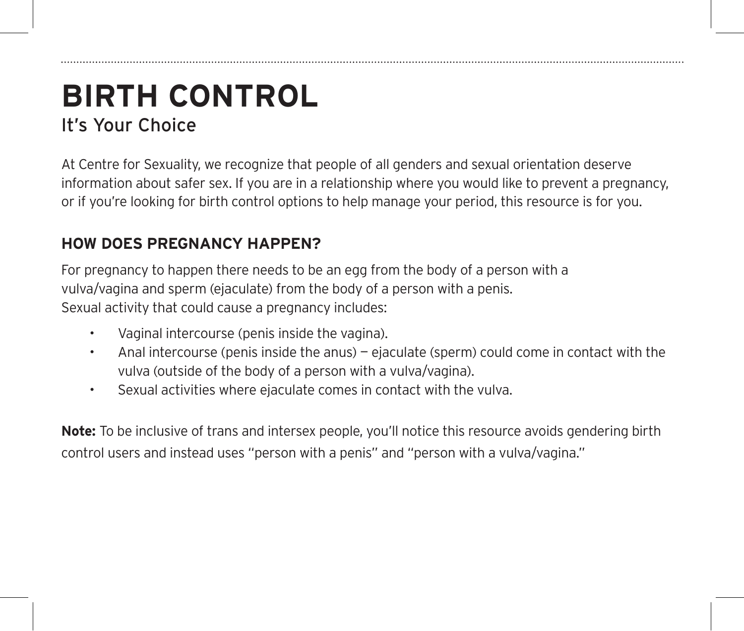# **BIRTH CONTROL**  It's Your Choice

At Centre for Sexuality, we recognize that people of all genders and sexual orientation deserve information about safer sex. If you are in a relationship where you would like to prevent a pregnancy, or if you're looking for birth control options to help manage your period, this resource is for you.

# **HOW DOES PREGNANCY HAPPEN?**

For pregnancy to happen there needs to be an egg from the body of a person with a vulva/vagina and sperm (ejaculate) from the body of a person with a penis. Sexual activity that could cause a pregnancy includes:

- Vaginal intercourse (penis inside the vagina).
- Anal intercourse (penis inside the anus) ejaculate (sperm) could come in contact with the vulva (outside of the body of a person with a vulva/vagina).
- Sexual activities where ejaculate comes in contact with the vulva.

**Note:** To be inclusive of trans and intersex people, you'll notice this resource avoids gendering birth control users and instead uses "person with a penis" and "person with a vulva/vagina."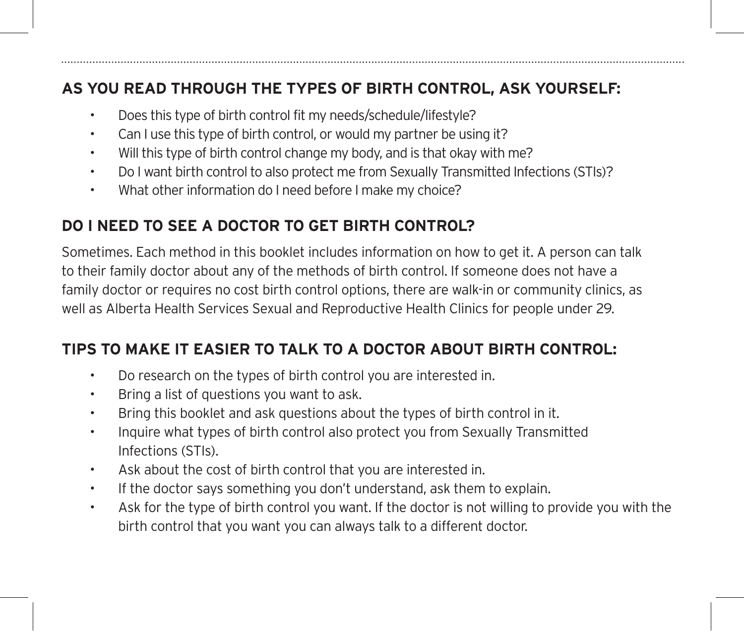# **AS YOU READ THROUGH THE TYPES OF BIRTH CONTROL, ASK YOURSELF:**

- Does this type of birth control fit my needs/schedule/lifestyle?
- Can I use this type of birth control, or would my partner be using it?
- Will this type of birth control change my body, and is that okay with me?
- Do I want birth control to also protect me from Sexually Transmitted Infections (STIs)?
- What other information do I need before I make my choice?

# **DO I NEED TO SEE A DOCTOR TO GET BIRTH CONTROL?**

Sometimes. Each method in this booklet includes information on how to get it. A person can talk to their family doctor about any of the methods of birth control. If someone does not have a family doctor or requires no cost birth control options, there are walk-in or community clinics, as well as Alberta Health Services Sexual and Reproductive Health Clinics for people under 29.

# **TIPS TO MAKE IT EASIER TO TALK TO A DOCTOR ABOUT BIRTH CONTROL:**

- Do research on the types of birth control you are interested in.
- Bring a list of questions you want to ask.
- Bring this booklet and ask questions about the types of birth control in it.
- Inquire what types of birth control also protect you from Sexually Transmitted Infections (STIs).
- Ask about the cost of birth control that you are interested in.
- If the doctor says something you don't understand, ask them to explain.
- Ask for the type of birth control you want. If the doctor is not willing to provide you with the birth control that you want you can always talk to a different doctor.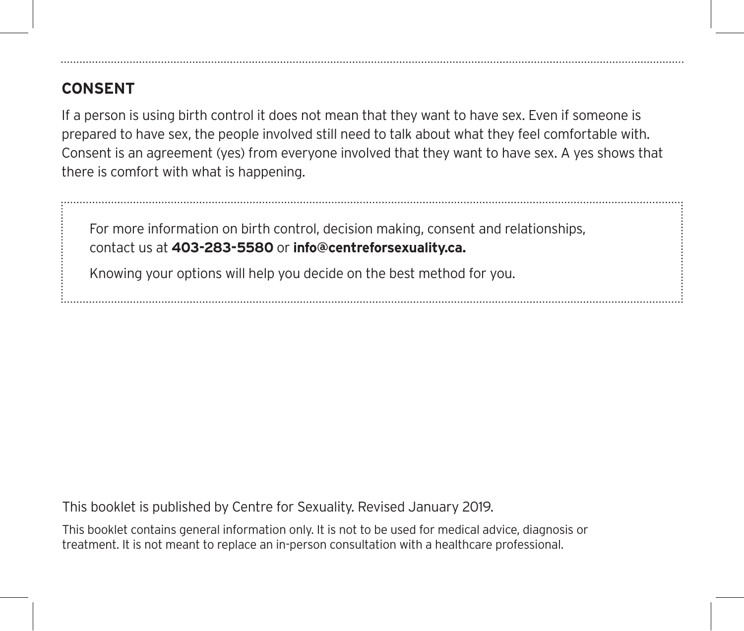# **CONSENT**

If a person is using birth control it does not mean that they want to have sex. Even if someone is prepared to have sex, the people involved still need to talk about what they feel comfortable with. Consent is an agreement (yes) from everyone involved that they want to have sex. A yes shows that there is comfort with what is happening.

For more information on birth control, decision making, consent and relationships, contact us at **403-283-5580** or **info@centreforsexuality.ca.**

Knowing your options will help you decide on the best method for you.

This booklet is published by Centre for Sexuality. Revised January 2019.

This booklet contains general information only. It is not to be used for medical advice, diagnosis or treatment. It is not meant to replace an in-person consultation with a healthcare professional.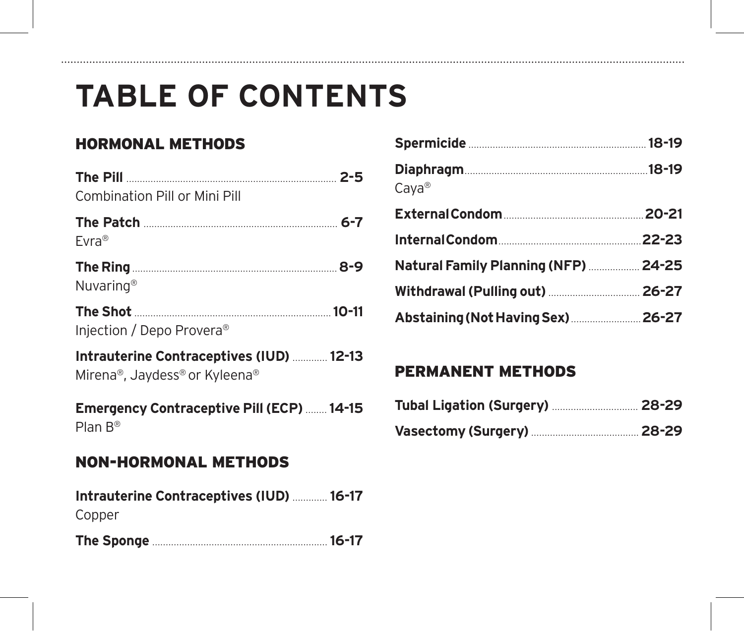# **TABLE OF CONTENTS**

# HORMONAL METHODS

.............

| Combination Pill or Mini Pill                                             |
|---------------------------------------------------------------------------|
| Evra <sup>®</sup>                                                         |
| Nuvaring <sup>®</sup>                                                     |
| Injection / Depo Provera <sup>®</sup>                                     |
| Intrauterine Contraceptives (IUD)  12-13<br>Mirena®, Jaydess® or Kyleena® |
| Emergency Contraceptive Pill (ECP)  14-15<br>Plan $B^{\circledR}$         |
| <b>NON-HORMONAL METHODS</b>                                               |

| Intrauterine Contraceptives (IUD)  16-17 |  |
|------------------------------------------|--|
| Copper                                   |  |
|                                          |  |

| $Caya^{\circledR}$                   |  |
|--------------------------------------|--|
|                                      |  |
|                                      |  |
| Natural Family Planning (NFP)  24-25 |  |
| Withdrawal (Pulling out)  26-27      |  |
| Abstaining (Not Having Sex)  26-27   |  |

## PERMANENT METHODS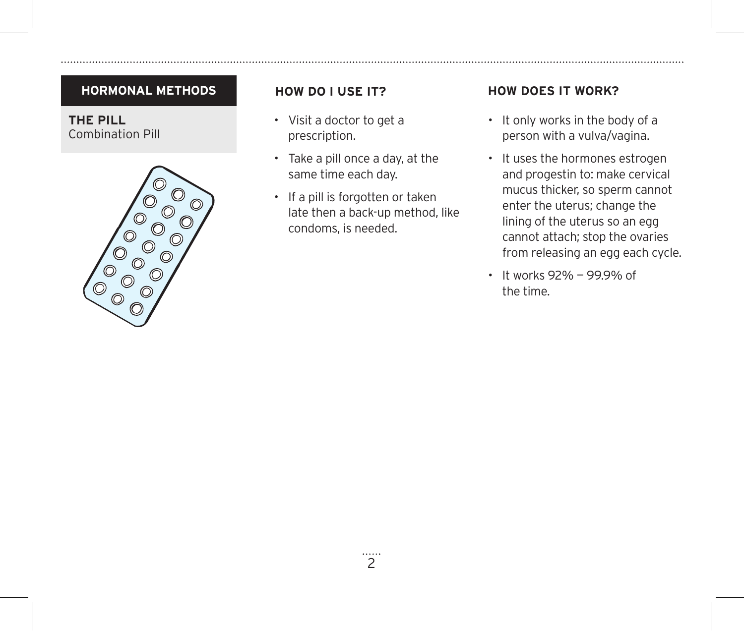**THE PILL** Combination Pill



- Visit a doctor to get a prescription.
- Take a pill once a day, at the same time each day.
- If a pill is forgotten or taken late then a back-up method, like condoms, is needed.

- It only works in the body of a person with a vulva/vagina.
- It uses the hormones estrogen and progestin to: make cervical mucus thicker, so sperm cannot enter the uterus; change the lining of the uterus so an egg cannot attach; stop the ovaries from releasing an egg each cycle.
- It works 92% 99.9% of the time.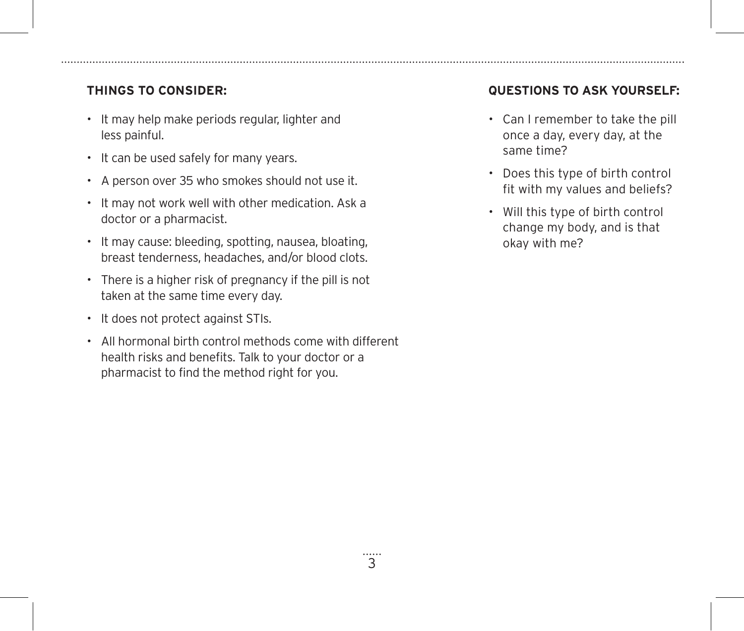- It may help make periods regular, lighter and less painful.
- It can be used safely for many years.
- A person over 35 who smokes should not use it.
- It may not work well with other medication. Ask a doctor or a pharmacist.
- It may cause: bleeding, spotting, nausea, bloating, breast tenderness, headaches, and/or blood clots.
- There is a higher risk of pregnancy if the pill is not taken at the same time every day.
- It does not protect against STIs.
- All hormonal birth control methods come with different health risks and benefits. Talk to your doctor or a pharmacist to find the method right for you.

- Can I remember to take the pill once a day, every day, at the same time?
- Does this type of birth control fit with my values and beliefs?
- Will this type of birth control change my body, and is that okay with me?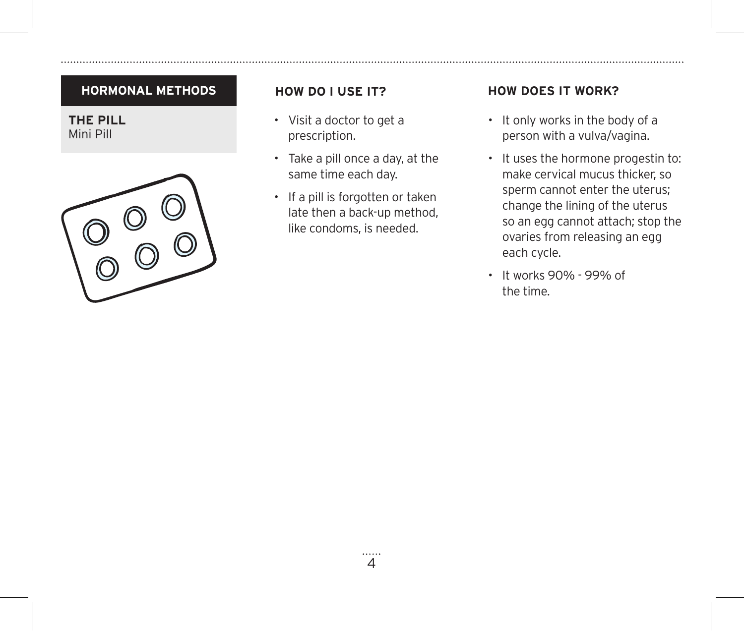**THE PILL** Mini Pill



- Visit a doctor to get a prescription.
- Take a pill once a day, at the same time each day.
- If a pill is forgotten or taken late then a back-up method, like condoms, is needed.

- It only works in the body of a person with a vulva/vagina.
- It uses the hormone progestin to: make cervical mucus thicker, so sperm cannot enter the uterus; change the lining of the uterus so an egg cannot attach; stop the ovaries from releasing an egg each cycle.
- It works 90% 99% of the time.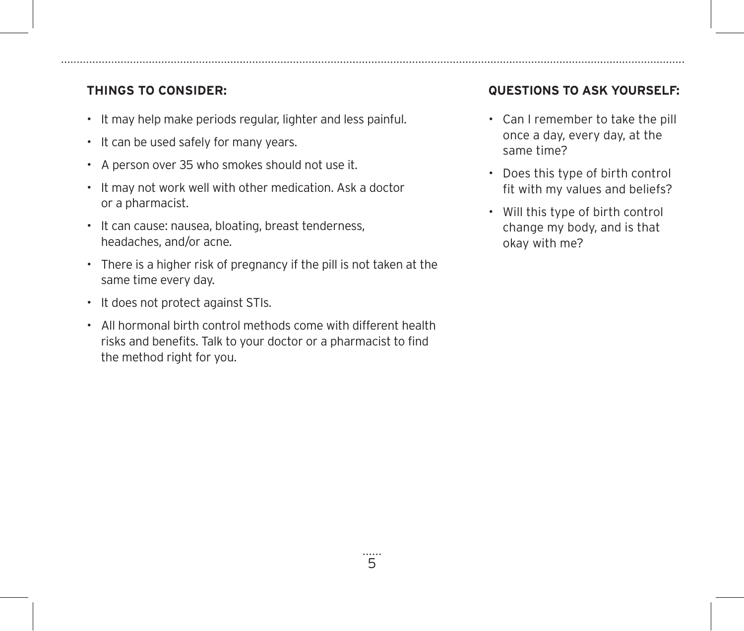- It may help make periods regular, lighter and less painful.
- It can be used safely for many years.
- A person over 35 who smokes should not use it.
- It may not work well with other medication. Ask a doctor or a pharmacist.
- It can cause: nausea, bloating, breast tenderness, headaches, and/or acne.
- There is a higher risk of pregnancy if the pill is not taken at the same time every day.
- It does not protect against STIs.
- All hormonal birth control methods come with different health risks and benefits. Talk to your doctor or a pharmacist to find the method right for you.

- Can I remember to take the pill once a day, every day, at the same time?
- Does this type of birth control fit with my values and beliefs?
- Will this type of birth control change my body, and is that okay with me?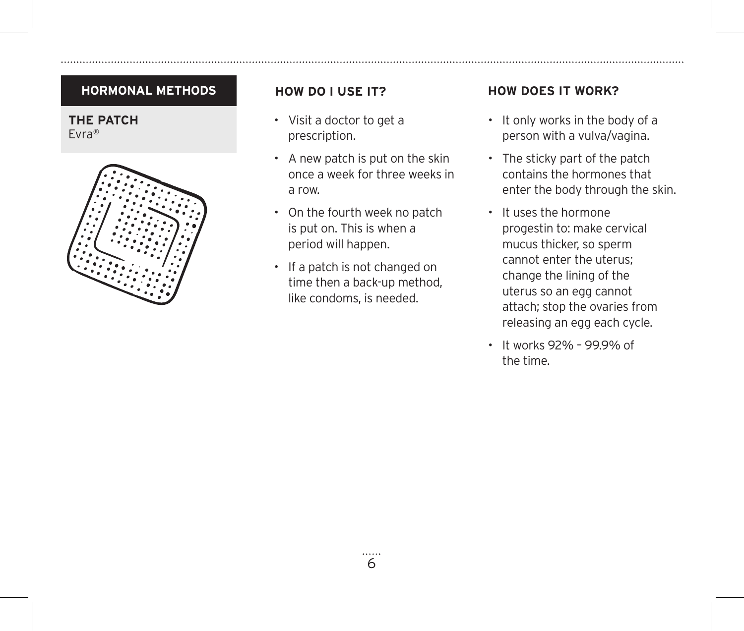**THE PATCH** Evra®



- Visit a doctor to get a prescription.
- A new patch is put on the skin once a week for three weeks in a row.
- On the fourth week no patch is put on. This is when a period will happen.
- If a patch is not changed on time then a back-up method, like condoms, is needed.

- It only works in the body of a person with a vulva/vagina.
- The sticky part of the patch contains the hormones that enter the body through the skin.
- It uses the hormone progestin to: make cervical mucus thicker, so sperm cannot enter the uterus; change the lining of the uterus so an egg cannot attach; stop the ovaries from releasing an egg each cycle.
- It works 92% 99.9% of the time.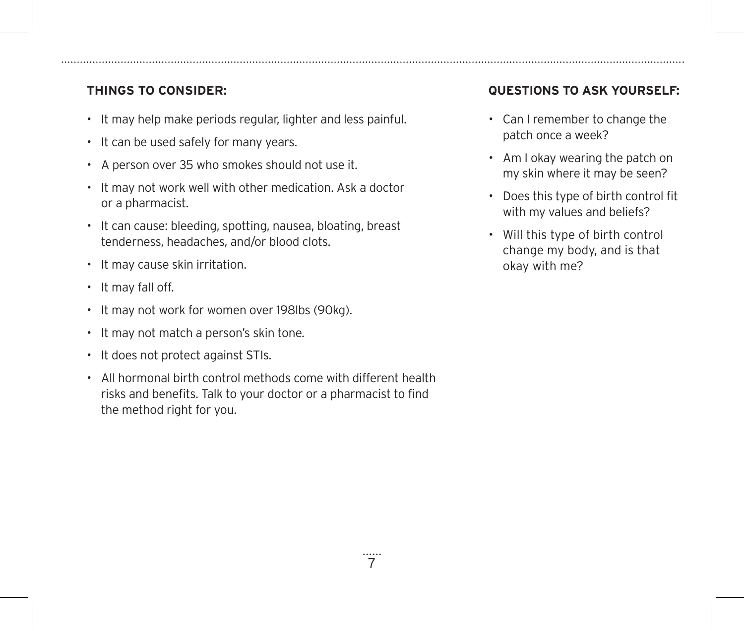- It may help make periods regular, lighter and less painful.
- It can be used safely for many years.
- A person over 35 who smokes should not use it.
- It may not work well with other medication. Ask a doctor or a pharmacist.
- It can cause: bleeding, spotting, nausea, bloating, breast tenderness, headaches, and/or blood clots.
- It may cause skin irritation.
- It may fall off.
- It may not work for women over 198lbs (90kg).
- It may not match a person's skin tone.
- It does not protect against STIs.
- All hormonal birth control methods come with different health risks and benefits. Talk to your doctor or a pharmacist to find the method right for you.

- Can I remember to change the patch once a week?
- Am I okay wearing the patch on my skin where it may be seen?
- Does this type of birth control fit with my values and beliefs?
- Will this type of birth control change my body, and is that okay with me?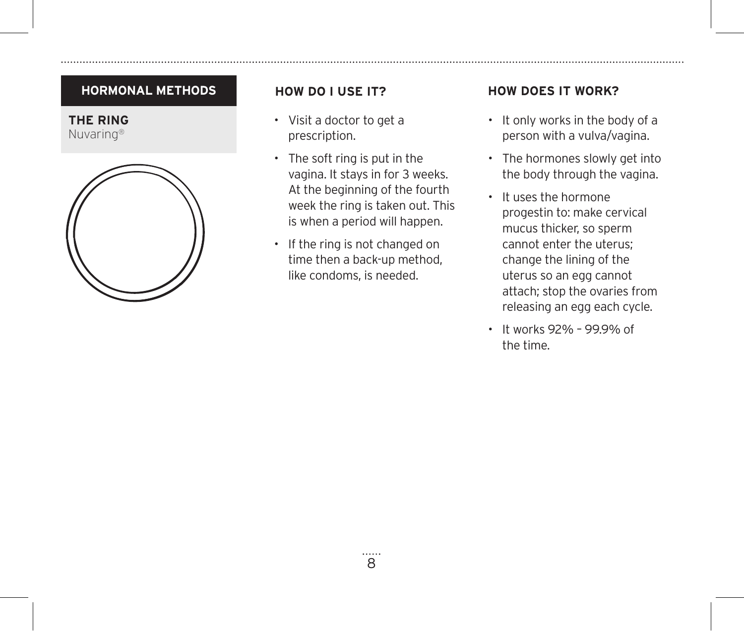



- Visit a doctor to get a prescription.
- The soft ring is put in the vagina. It stays in for 3 weeks. At the beginning of the fourth week the ring is taken out. This is when a period will happen.
- If the ring is not changed on time then a back-up method, like condoms, is needed.

- It only works in the body of a person with a vulva/vagina.
- The hormones slowly get into the body through the vagina.
- It uses the hormone progestin to: make cervical mucus thicker, so sperm cannot enter the uterus; change the lining of the uterus so an egg cannot attach; stop the ovaries from releasing an egg each cycle.
- It works 92% 99.9% of the time.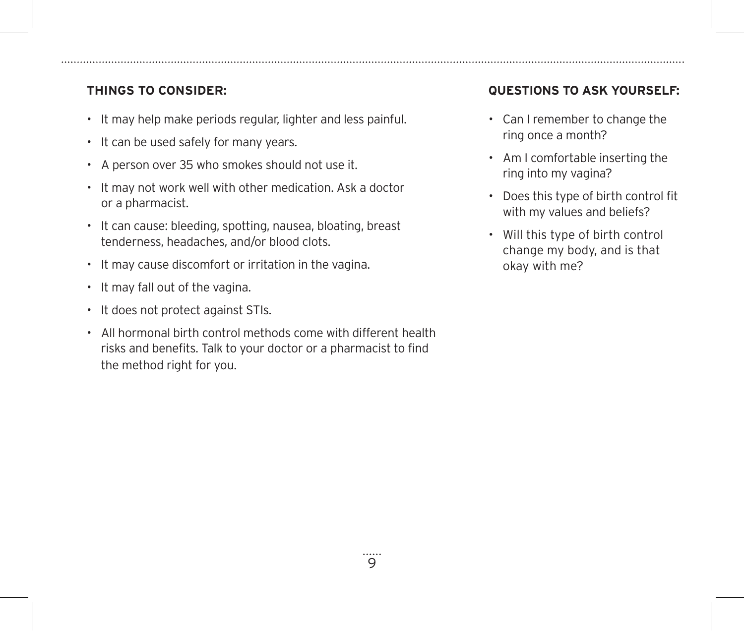- It may help make periods regular, lighter and less painful.
- It can be used safely for many years.
- A person over 35 who smokes should not use it.
- It may not work well with other medication. Ask a doctor or a pharmacist.
- It can cause: bleeding, spotting, nausea, bloating, breast tenderness, headaches, and/or blood clots.
- It may cause discomfort or irritation in the vagina.
- It may fall out of the vagina.
- It does not protect against STIs.
- All hormonal birth control methods come with different health risks and benefits. Talk to your doctor or a pharmacist to find the method right for you.

- Can I remember to change the ring once a month?
- Am I comfortable inserting the ring into my vagina?
- Does this type of birth control fit with my values and beliefs?
- Will this type of birth control change my body, and is that okay with me?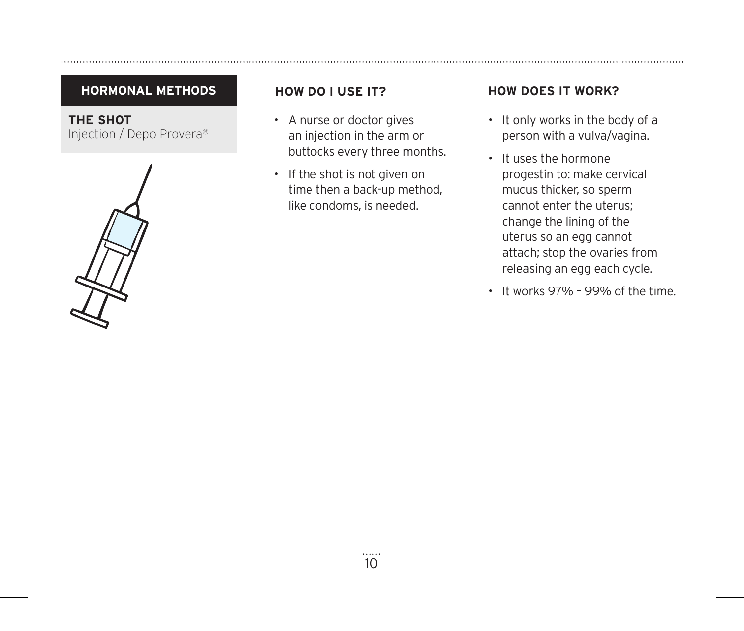**THE SHOT** Injection / Depo Provera®



- A nurse or doctor gives an injection in the arm or buttocks every three months.
- If the shot is not given on time then a back-up method, like condoms, is needed.

- It only works in the body of a person with a vulva/vagina.
- It uses the hormone progestin to: make cervical mucus thicker, so sperm cannot enter the uterus; change the lining of the uterus so an egg cannot attach; stop the ovaries from releasing an egg each cycle.
- It works 97% 99% of the time.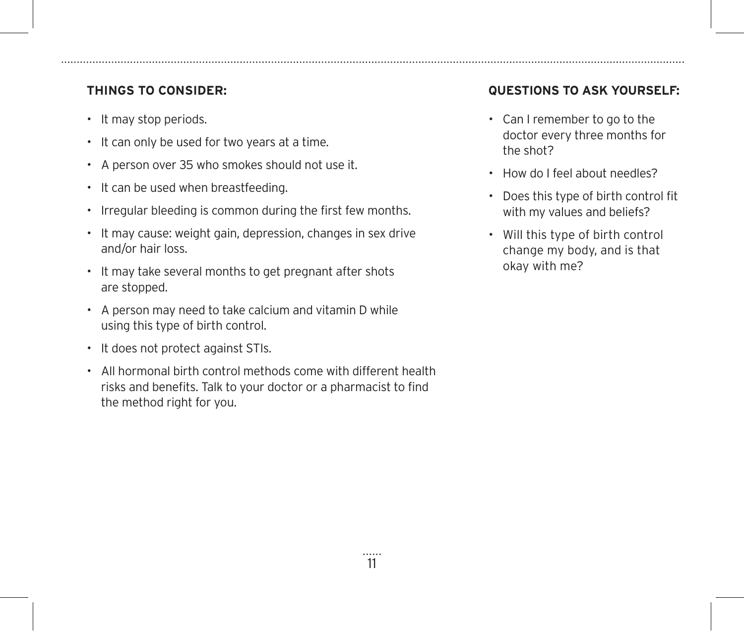- It may stop periods.
- It can only be used for two years at a time.
- A person over 35 who smokes should not use it.
- It can be used when breastfeeding.
- Irregular bleeding is common during the first few months.
- It may cause: weight gain, depression, changes in sex drive and/or hair loss.
- It may take several months to get pregnant after shots are stopped.
- A person may need to take calcium and vitamin D while using this type of birth control.
- It does not protect against STIs.
- All hormonal birth control methods come with different health risks and benefits. Talk to your doctor or a pharmacist to find the method right for you.

- Can I remember to go to the doctor every three months for the shot?
- How do I feel about needles?
- Does this type of birth control fit with my values and beliefs?
- Will this type of birth control change my body, and is that okay with me?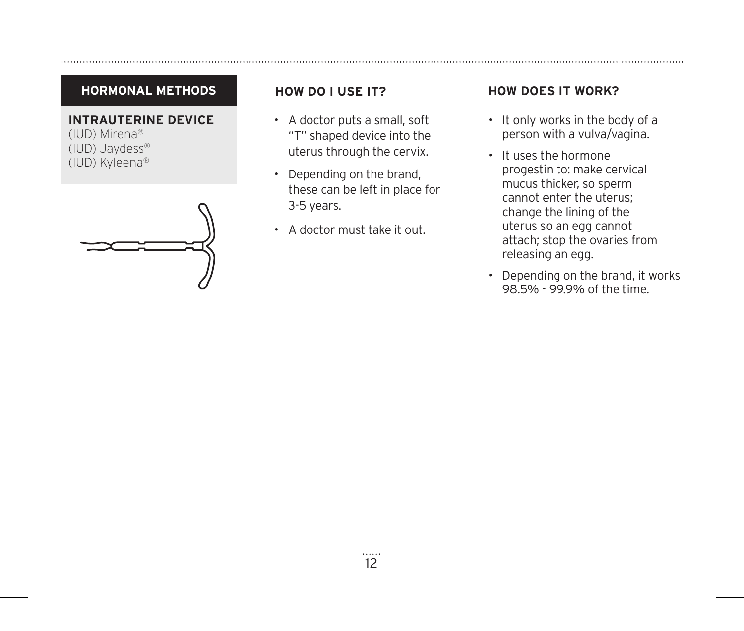### **INTRAUTERINE DEVICE**

(IUD) Mirena® (IUD) Jaydess® (IUD) Kyleena®



- A doctor puts a small, soft "T" shaped device into the uterus through the cervix.
- Depending on the brand, these can be left in place for 3-5 years.
- A doctor must take it out.

- It only works in the body of a person with a vulva/vagina.
- It uses the hormone progestin to: make cervical mucus thicker, so sperm cannot enter the uterus; change the lining of the uterus so an egg cannot attach; stop the ovaries from releasing an egg.
- Depending on the brand, it works 98.5% - 99.9% of the time.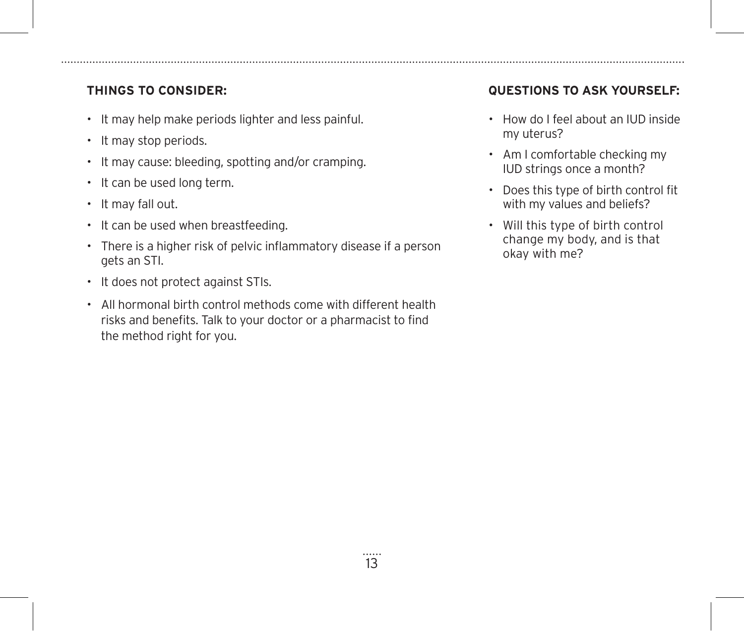- It may help make periods lighter and less painful.
- It may stop periods.
- It may cause: bleeding, spotting and/or cramping.
- It can be used long term.
- It may fall out.
- It can be used when breastfeeding.
- There is a higher risk of pelvic inflammatory disease if a person gets an STI.
- It does not protect against STIs.
- All hormonal birth control methods come with different health risks and benefits. Talk to your doctor or a pharmacist to find the method right for you.

- How do I feel about an IUD inside my uterus?
- Am I comfortable checking my IUD strings once a month?
- Does this type of birth control fit with my values and beliefs?
- Will this type of birth control change my body, and is that okay with me?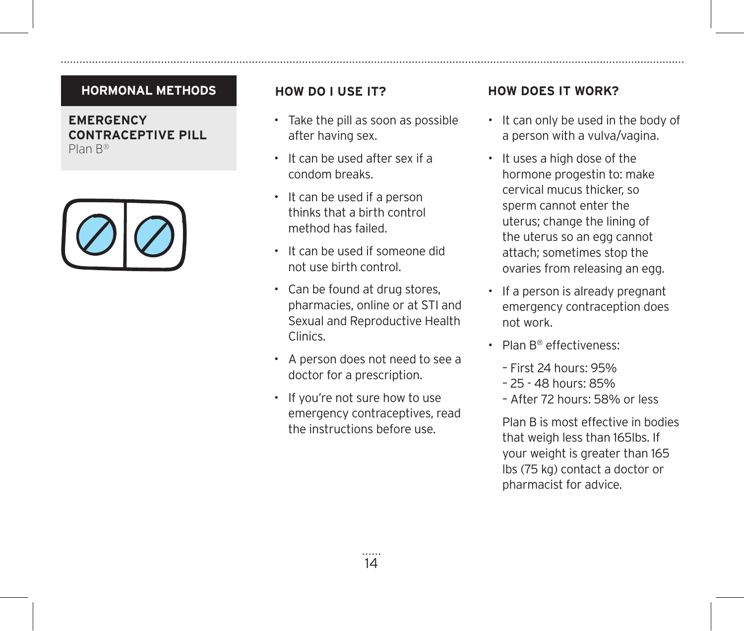### **EMERGENCY CONTRACEPTIVE PILL** Plan B®



- Take the pill as soon as possible after having sex.
- It can be used after sex if a condom breaks.
- It can be used if a person thinks that a birth control method has failed.
- It can be used if someone did not use birth control.
- Can be found at drug stores, pharmacies, online or at STI and Sexual and Reproductive Health Clinics.
- A person does not need to see a doctor for a prescription.
- If you're not sure how to use emergency contraceptives, read the instructions before use.

### **HOW DO I USE IT? HOW DOES IT WORK?**

- It can only be used in the body of a person with a vulva/vagina.
- It uses a high dose of the hormone progestin to: make cervical mucus thicker, so sperm cannot enter the uterus; change the lining of the uterus so an egg cannot attach; sometimes stop the ovaries from releasing an egg.
- If a person is already pregnant emergency contraception does not work.
- Plan B® effectiveness:
	- First 24 hours: 95%
	- 25 48 hours: 85%
	- After 72 hours: 58% or less

Plan B is most effective in bodies that weigh less than 165lbs. If your weight is greater than 165 lbs (75 kg) contact a doctor or pharmacist for advice.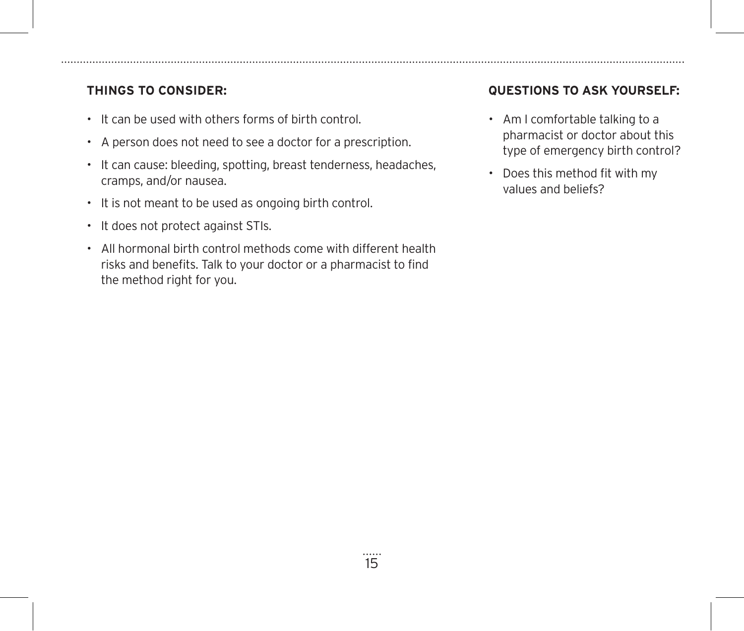- It can be used with others forms of birth control.
- A person does not need to see a doctor for a prescription.
- It can cause: bleeding, spotting, breast tenderness, headaches, cramps, and/or nausea.
- It is not meant to be used as ongoing birth control.
- It does not protect against STIs.
- All hormonal birth control methods come with different health risks and benefits. Talk to your doctor or a pharmacist to find the method right for you.

- Am I comfortable talking to a pharmacist or doctor about this type of emergency birth control?
- Does this method fit with my values and beliefs?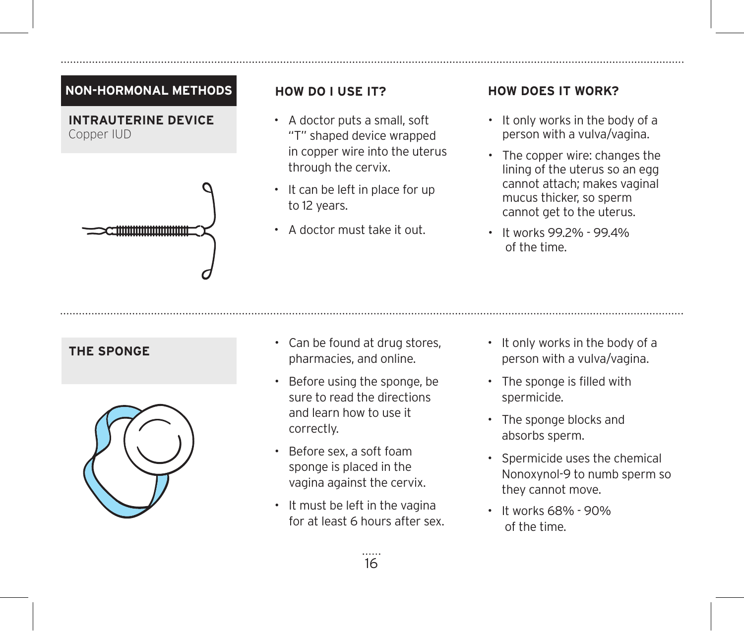### **NON-HORMONAL METHODS**

**INTRAUTERINE DEVICE** Copper IUD



- A doctor puts a small, soft "T" shaped device wrapped in copper wire into the uterus through the cervix.
- It can be left in place for up to 12 years.
- A doctor must take it out.

- It only works in the body of a person with a vulva/vagina.
- The copper wire: changes the lining of the uterus so an egg cannot attach; makes vaginal mucus thicker, so sperm cannot get to the uterus.
- It works 99.2% 99.4% of the time.



- **THE SPONGE Can be found at drug stores,** pharmacies, and online.
	- Before using the sponge, be sure to read the directions and learn how to use it correctly.
	- Before sex, a soft foam sponge is placed in the vagina against the cervix.
	- It must be left in the vagina for at least 6 hours after sex.
- It only works in the body of a person with a vulva/vagina.
- The sponge is filled with spermicide.
- The sponge blocks and absorbs sperm.
- Spermicide uses the chemical Nonoxynol-9 to numb sperm so they cannot move.
- It works 68% 90% of the time.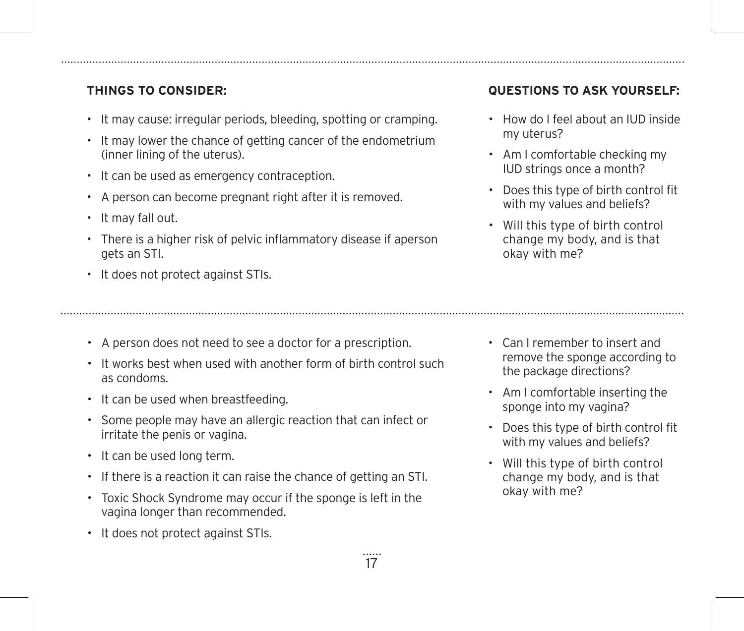- It may cause: irregular periods, bleeding, spotting or cramping.
- It may lower the chance of getting cancer of the endometrium (inner lining of the uterus).
- It can be used as emergency contraception.
- A person can become pregnant right after it is removed.
- It may fall out.
- There is a higher risk of pelvic inflammatory disease if aperson gets an STI.
- It does not protect against STIs.
- A person does not need to see a doctor for a prescription.
- It works best when used with another form of birth control such as condoms.
- It can be used when breastfeeding.
- Some people may have an allergic reaction that can infect or irritate the penis or vagina.
- It can be used long term.
- If there is a reaction it can raise the chance of getting an STI.
- Toxic Shock Syndrome may occur if the sponge is left in the vagina longer than recommended.
- It does not protect against STIs.

- How do I feel about an IUD inside my uterus?
- Am I comfortable checking my IUD strings once a month?
- Does this type of birth control fit with my values and beliefs?
- Will this type of birth control change my body, and is that okay with me?

- Can I remember to insert and remove the sponge according to the package directions?
- Am I comfortable inserting the sponge into my vagina?
- Does this type of birth control fit with my values and beliefs?
- Will this type of birth control change my body, and is that okay with me?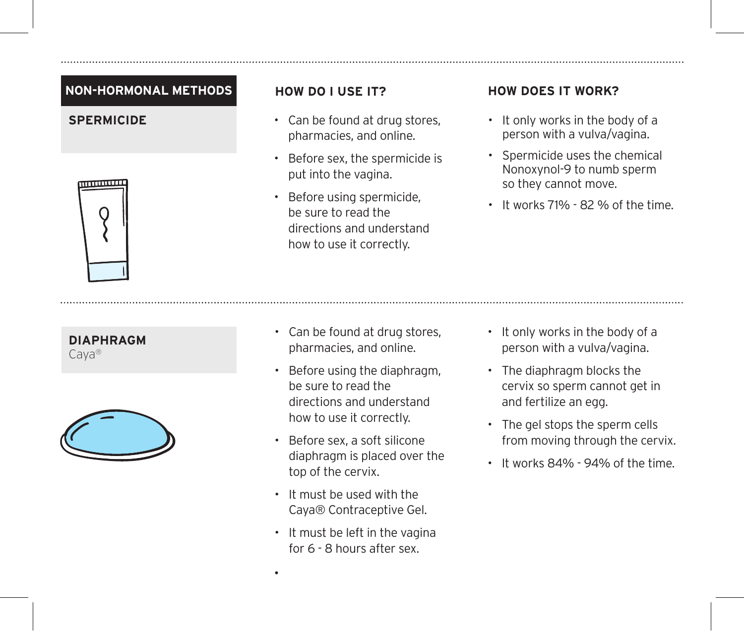### **NON-HORMONAL METHODS**



### **DIAPHRAGM**

Caya®



- Can be found at drug stores, pharmacies, and online.
- Before sex, the spermicide is put into the vagina.
- Before using spermicide, be sure to read the directions and understand how to use it correctly.

### **HOW DO I USE IT? HOW DOES IT WORK?**

- **SPERMICIDE** Can be found at drug stores. It only works in the body of a person with a vulva/vagina.
	- Spermicide uses the chemical Nonoxynol-9 to numb sperm so they cannot move.
	- It works 71% 82 % of the time.

- Can be found at drug stores, pharmacies, and online.
- Before using the diaphragm, be sure to read the directions and understand how to use it correctly.
- Before sex, a soft silicone diaphragm is placed over the top of the cervix.
- It must be used with the Caya® Contraceptive Gel.
- It must be left in the vagina for 6 - 8 hours after sex.

•

- It only works in the body of a person with a vulva/vagina.
- The diaphragm blocks the cervix so sperm cannot get in and fertilize an egg.
- The gel stops the sperm cells from moving through the cervix.
- It works 84% 94% of the time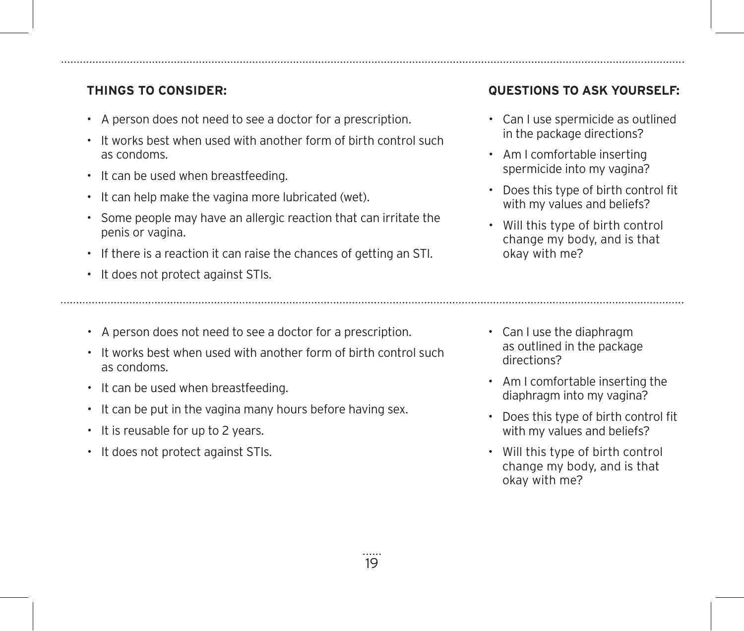- A person does not need to see a doctor for a prescription.
- It works best when used with another form of birth control such as condoms.
- It can be used when breastfeeding.
- It can help make the vagina more lubricated (wet).
- Some people may have an allergic reaction that can irritate the penis or vagina.
- If there is a reaction it can raise the chances of getting an STI.
- It does not protect against STIs.
- A person does not need to see a doctor for a prescription.
- It works best when used with another form of birth control such as condoms.
- It can be used when breastfeeding.
- It can be put in the vagina many hours before having sex.
- It is reusable for up to 2 years.
- It does not protect against STIs.

- Can I use spermicide as outlined in the package directions?
- Am I comfortable inserting spermicide into my vagina?
- Does this type of birth control fit with my values and beliefs?
- Will this type of birth control change my body, and is that okay with me?

- Can I use the diaphragm as outlined in the package directions?
- Am I comfortable inserting the diaphragm into my vagina?
- Does this type of birth control fit with my values and beliefs?
- Will this type of birth control change my body, and is that okay with me?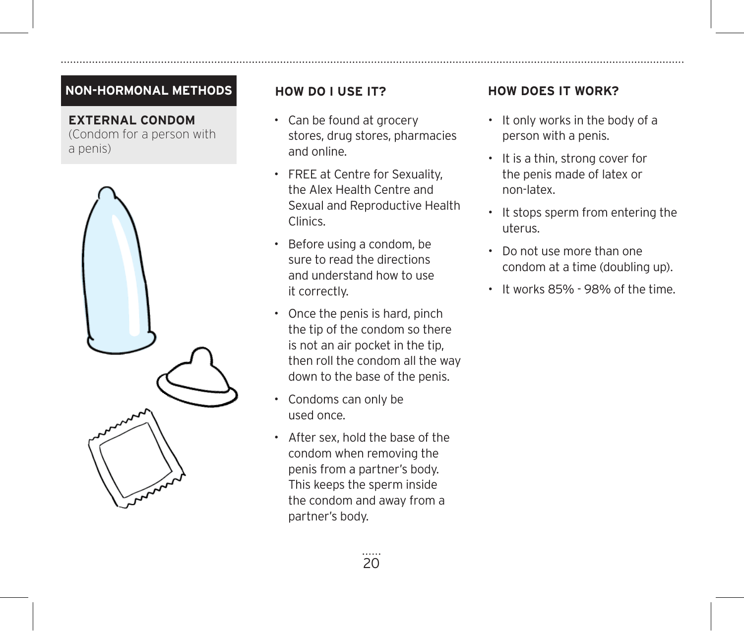### **NON-HORMONAL METHODS**

**EXTERNAL CONDOM** (Condom for a person with a penis)



- Can be found at grocery stores, drug stores, pharmacies and online.
- FREE at Centre for Sexuality, the Alex Health Centre and Sexual and Reproductive Health Clinics.
- Before using a condom, be sure to read the directions and understand how to use it correctly.
- Once the penis is hard, pinch the tip of the condom so there is not an air pocket in the tip, then roll the condom all the way down to the base of the penis.
- Condoms can only be used once.
- After sex, hold the base of the condom when removing the penis from a partner's body. This keeps the sperm inside the condom and away from a partner's body.

- It only works in the body of a person with a penis.
- It is a thin, strong cover for the penis made of latex or non-latex.
- It stops sperm from entering the uterus.
- Do not use more than one condom at a time (doubling up).
- It works 85% 98% of the time.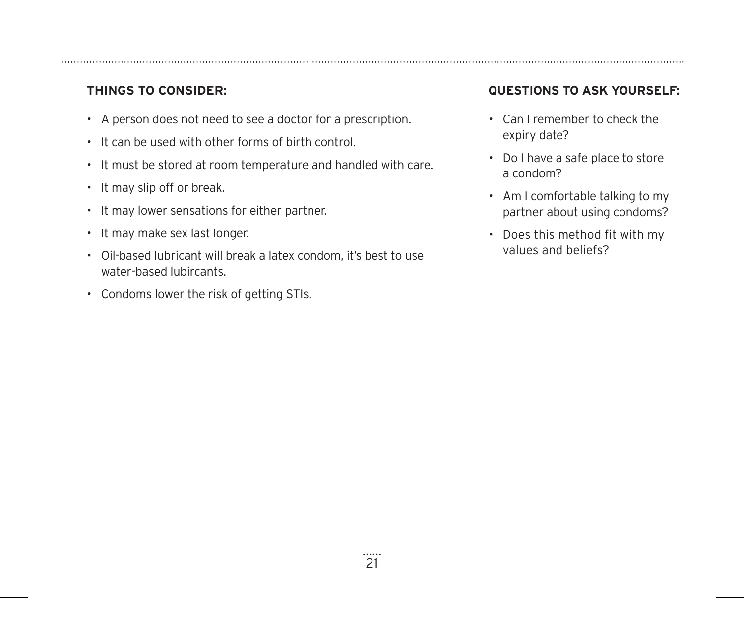- A person does not need to see a doctor for a prescription.
- It can be used with other forms of birth control.
- It must be stored at room temperature and handled with care.
- It may slip off or break.
- It may lower sensations for either partner.
- It may make sex last longer.
- Oil-based lubricant will break a latex condom, it's best to use water-based lubircants.
- Condoms lower the risk of getting STIs.

- Can I remember to check the expiry date?
- Do I have a safe place to store a condom?
- Am I comfortable talking to my partner about using condoms?
- Does this method fit with my values and beliefs?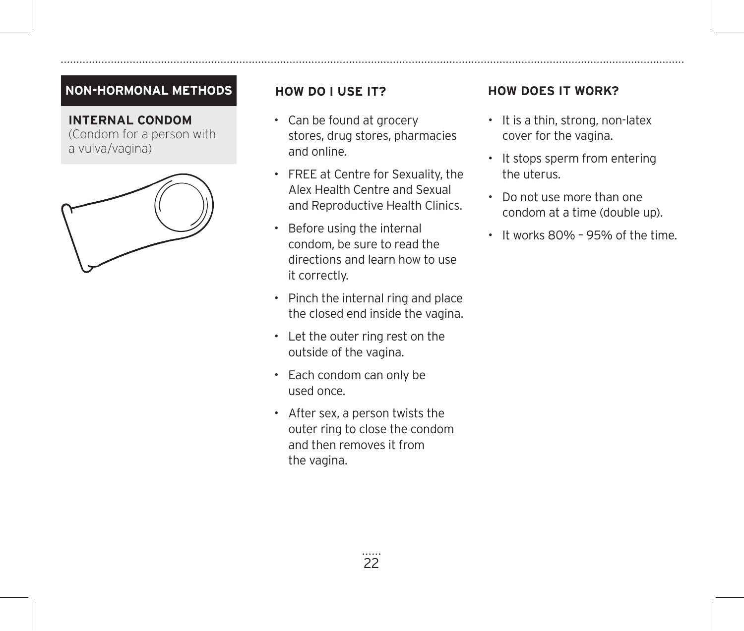### **NON-HORMONAL METHODS**

**INTERNAL CONDOM** (Condom for a person with a vulva/vagina)



- Can be found at grocery stores, drug stores, pharmacies and online.
- FREE at Centre for Sexuality, the Alex Health Centre and Sexual and Reproductive Health Clinics.
- Before using the internal condom, be sure to read the directions and learn how to use it correctly.
- Pinch the internal ring and place the closed end inside the vagina.
- Let the outer ring rest on the outside of the vagina.
- Each condom can only be used once.
- After sex, a person twists the outer ring to close the condom and then removes it from the vagina.

- It is a thin, strong, non-latex cover for the vagina.
- It stops sperm from entering the uterus.
- Do not use more than one condom at a time (double up).
- It works 80% 95% of the time.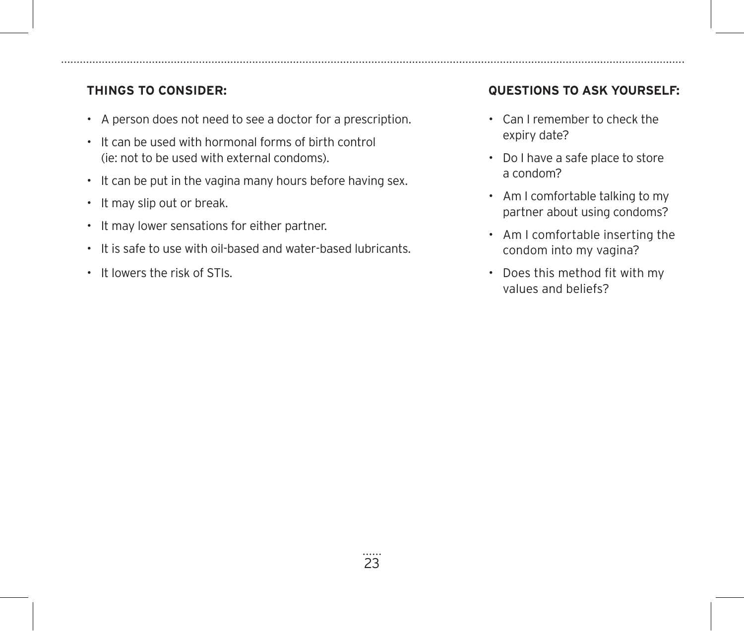- A person does not need to see a doctor for a prescription.
- It can be used with hormonal forms of birth control (ie: not to be used with external condoms).
- It can be put in the vagina many hours before having sex.
- It may slip out or break.
- It may lower sensations for either partner.
- It is safe to use with oil-based and water-based lubricants.
- It lowers the risk of STIs.

- Can I remember to check the expiry date?
- Do I have a safe place to store a condom?
- Am I comfortable talking to my partner about using condoms?
- Am I comfortable inserting the condom into my vagina?
- Does this method fit with my values and beliefs?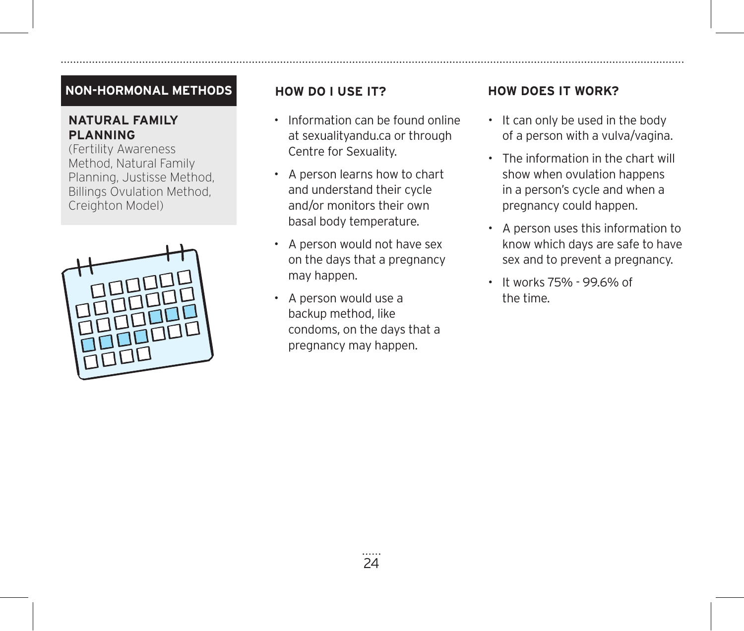### **NON-HORMONAL METHODS**

### **NATURAL FAMILY PLANNING**

(Fertility Awareness Method, Natural Family Planning, Justisse Method, Billings Ovulation Method, Creighton Model)



- Information can be found online at sexualityandu.ca or through Centre for Sexuality.
- A person learns how to chart and understand their cycle and/or monitors their own basal body temperature.
- A person would not have sex on the days that a pregnancy may happen.
- A person would use a backup method, like condoms, on the days that a pregnancy may happen.

- It can only be used in the body of a person with a vulva/vagina.
- The information in the chart will show when ovulation happens in a person's cycle and when a pregnancy could happen.
- A person uses this information to know which days are safe to have sex and to prevent a pregnancy.
- It works 75% 99.6% of the time.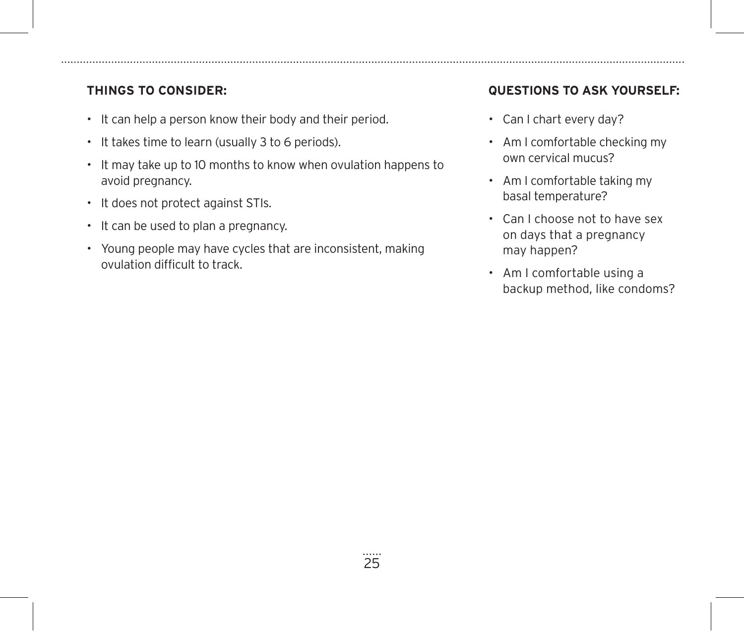- It can help a person know their body and their period.
- It takes time to learn (usually 3 to 6 periods).
- It may take up to 10 months to know when ovulation happens to avoid pregnancy.
- It does not protect against STIs.
- It can be used to plan a pregnancy.
- Young people may have cycles that are inconsistent, making ovulation difficult to track.

- Can I chart every day?
- Am I comfortable checking my own cervical mucus?
- Am I comfortable taking my basal temperature?
- Can I choose not to have sex on days that a pregnancy may happen?
- Am I comfortable using a backup method, like condoms?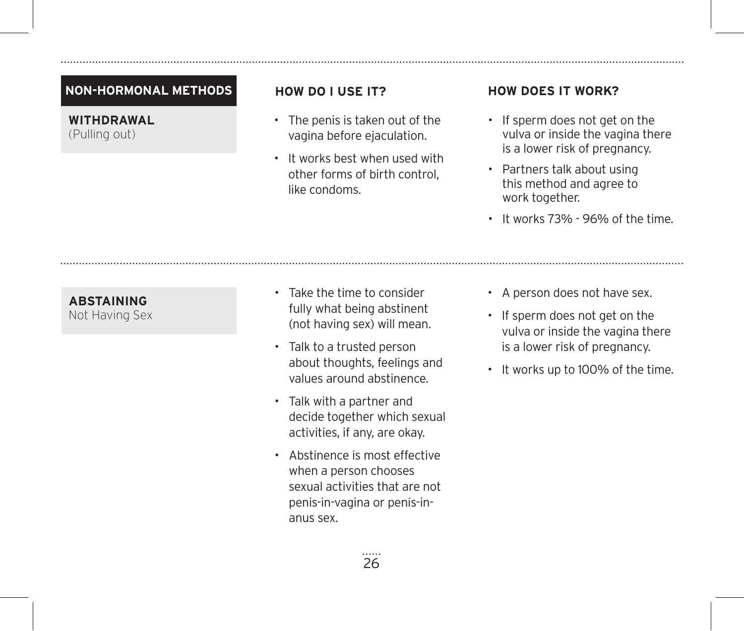### **NON-HORMONAL METHODS**

**WITHDRAWAL** (Pulling out)

- The penis is taken out of the vagina before ejaculation.
- It works best when used with other forms of birth control, like condoms.

### **HOW DO I USE IT? HOW DOES IT WORK?**

- If sperm does not get on the vulva or inside the vagina there is a lower risk of pregnancy.
- Partners talk about using this method and agree to work together.
- It works 73% 96% of the time.

# **ABSTAINING**

Not Having Sex

- Take the time to consider fully what being abstinent (not having sex) will mean.
- Talk to a trusted person about thoughts, feelings and values around abstinence.
- Talk with a partner and decide together which sexual activities, if any, are okay.
- Abstinence is most effective when a person chooses sexual activities that are not penis-in-vagina or penis-inanus sex.
- A person does not have sex.
- If sperm does not get on the vulva or inside the vagina there is a lower risk of pregnancy.
- It works up to 100% of the time.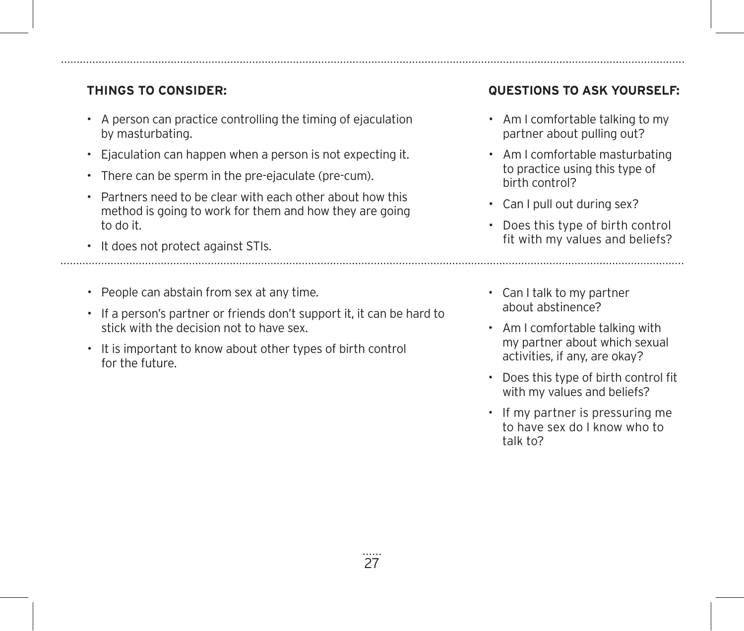- A person can practice controlling the timing of ejaculation by masturbating.
- Ejaculation can happen when a person is not expecting it.
- There can be sperm in the pre-ejaculate (pre-cum).
- Partners need to be clear with each other about how this method is going to work for them and how they are going to do it.
- It does not protect against STIs.
- People can abstain from sex at any time.
- If a person's partner or friends don't support it, it can be hard to stick with the decision not to have sex.
- It is important to know about other types of birth control for the future.

- Am I comfortable talking to my partner about pulling out?
- Am I comfortable masturbating to practice using this type of birth control?
- Can I pull out during sex?
- Does this type of birth control fit with my values and beliefs?
- Can I talk to my partner about abstinence?
- Am I comfortable talking with my partner about which sexual activities, if any, are okay?
- Does this type of birth control fit with my values and beliefs?
- If my partner is pressuring me to have sex do I know who to talk to?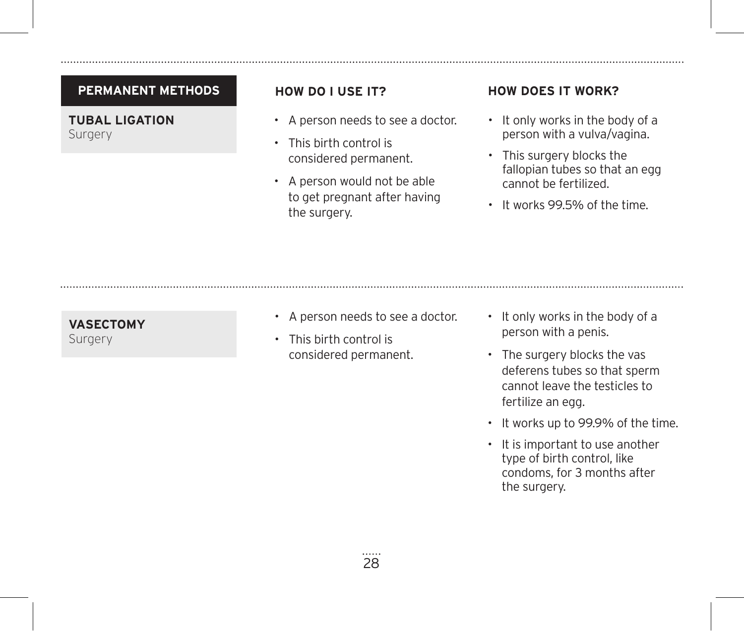### **PERMANENT METHODS**

**TUBAL LIGATION** Surgery

- A person needs to see a doctor.
- This birth control is considered permanent.
- A person would not be able to get pregnant after having the surgery.

### **HOW DO I USE IT? HOW DOES IT WORK?**

- It only works in the body of a person with a vulva/vagina.
- This surgery blocks the fallopian tubes so that an egg cannot be fertilized.
- It works 99.5% of the time.

### **VASECTOMY** Surgery

• A person needs to see a doctor.

• This birth control is considered permanent.

- It only works in the body of a person with a penis.
- The surgery blocks the vas deferens tubes so that sperm cannot leave the testicles to fertilize an egg.
- It works up to 99.9% of the time.
- It is important to use another type of birth control, like condoms, for 3 months after the surgery.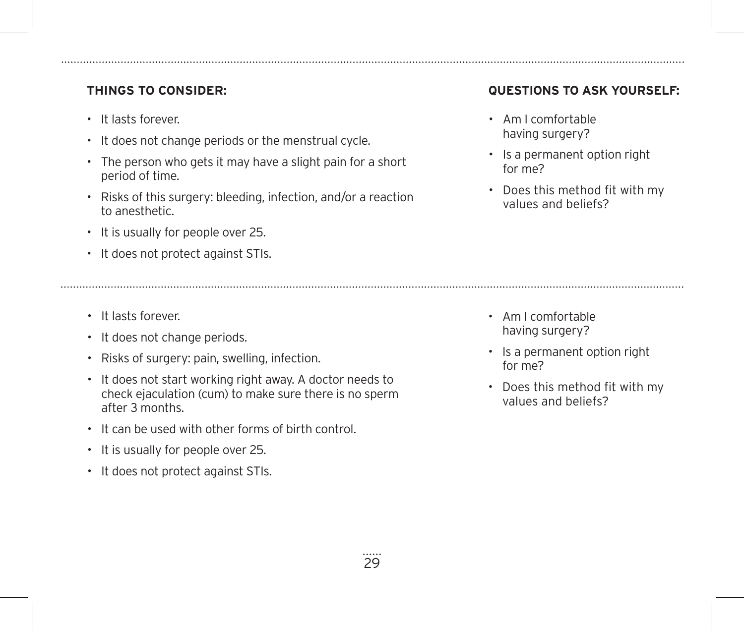- It lasts forever.
- It does not change periods or the menstrual cycle.
- The person who gets it may have a slight pain for a short period of time.
- Risks of this surgery: bleeding, infection, and/or a reaction to anesthetic.
- It is usually for people over 25.
- It does not protect against STIs.
- It lasts forever.
- It does not change periods.
- Risks of surgery: pain, swelling, infection.
- It does not start working right away. A doctor needs to check ejaculation (cum) to make sure there is no sperm after 3 months.
- It can be used with other forms of birth control.
- It is usually for people over 25.
- It does not protect against STIs.

- Am I comfortable having surgery?
- Is a permanent option right for me?
- Does this method fit with my values and beliefs?

- Am I comfortable having surgery?
- Is a permanent option right for me?
- Does this method fit with my values and beliefs?